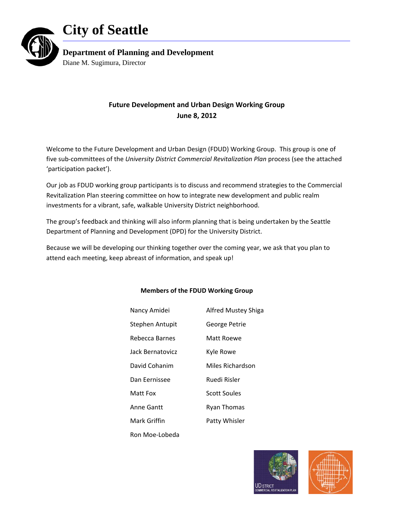



**Department of Planning and Development** 

Diane M. Sugimura, Director

# **Future Development and Urban Design Working Group June 8, 2012**

Welcome to the Future Development and Urban Design (FDUD) Working Group. This group is one of five sub‐committees of the *University District Commercial Revitalization Plan* process (see the attached 'participation packet').

Our job as FDUD working group participants is to discuss and recommend strategies to the Commercial Revitalization Plan steering committee on how to integrate new development and public realm investments for a vibrant, safe, walkable University District neighborhood.

The group's feedback and thinking will also inform planning that is being undertaken by the Seattle Department of Planning and Development (DPD) for the University District.

Because we will be developing our thinking together over the coming year, we ask that you plan to attend each meeting, keep abreast of information, and speak up!

| Nancy Amidei     | <b>Alfred Mustey Shiga</b> |  |
|------------------|----------------------------|--|
| Stephen Antupit  | George Petrie              |  |
| Rebecca Barnes   | Matt Roewe                 |  |
| Jack Bernatovicz | Kyle Rowe                  |  |
| David Cohanim    | Miles Richardson           |  |
| Dan Fernissee    | Ruedi Risler               |  |
| Matt Fox         | <b>Scott Soules</b>        |  |
| Anne Gantt       | <b>Ryan Thomas</b>         |  |
| Mark Griffin     | Patty Whisler              |  |
| Ron Moe-Lobeda   |                            |  |

# **Members of the FDUD Working Group**



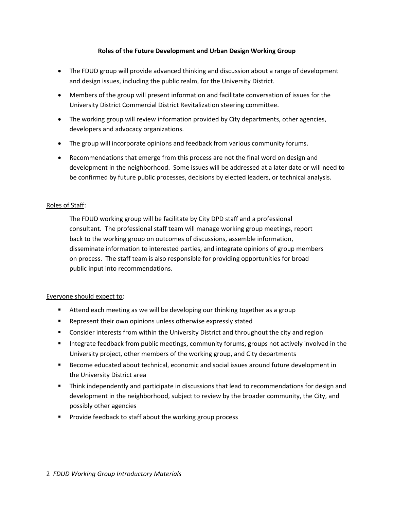## **Roles of the Future Development and Urban Design Working Group**

- The FDUD group will provide advanced thinking and discussion about a range of development and design issues, including the public realm, for the University District.
- Members of the group will present information and facilitate conversation of issues for the University District Commercial District Revitalization steering committee.
- The working group will review information provided by City departments, other agencies, developers and advocacy organizations.
- The group will incorporate opinions and feedback from various community forums.
- Recommendations that emerge from this process are not the final word on design and development in the neighborhood. Some issues will be addressed at a later date or will need to be confirmed by future public processes, decisions by elected leaders, or technical analysis.

## Roles of Staff:

The FDUD working group will be facilitate by City DPD staff and a professional consultant. The professional staff team will manage working group meetings, report back to the working group on outcomes of discussions, assemble information, disseminate information to interested parties, and integrate opinions of group members on process. The staff team is also responsible for providing opportunities for broad public input into recommendations.

# Everyone should expect to:

- **Attend each meeting as we will be developing our thinking together as a group**
- **Represent their own opinions unless otherwise expressly stated**
- **Consider interests from within the University District and throughout the city and region**
- **Integrate feedback from public meetings, community forums, groups not actively involved in the** University project, other members of the working group, and City departments
- **Become educated about technical, economic and social issues around future development in** the University District area
- **Think independently and participate in discussions that lead to recommendations for design and** development in the neighborhood, subject to review by the broader community, the City, and possibly other agencies
- **Provide feedback to staff about the working group process**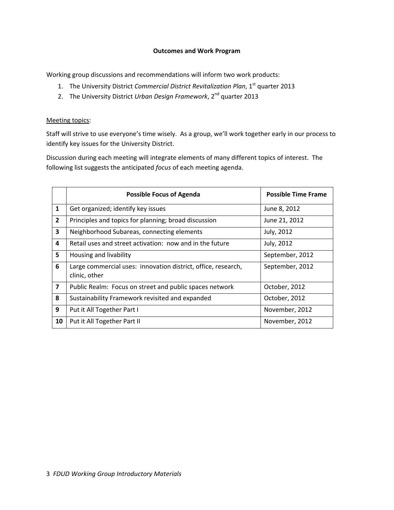#### **Outcomes and Work Program**

Working group discussions and recommendations will inform two work products:

- 1. The University District *Commercial District Revitalization Plan*, 1st quarter 2013
- 2. The University District *Urban Design Framework*, 2nd quarter 2013

#### Meeting topics:

Staff will strive to use everyone's time wisely. As a group, we'll work together early in our process to identify key issues for the University District.

Discussion during each meeting will integrate elements of many different topics of interest. The following list suggests the anticipated *focus* of each meeting agenda.

|                | <b>Possible Focus of Agenda</b>                                                | <b>Possible Time Frame</b> |
|----------------|--------------------------------------------------------------------------------|----------------------------|
| $\mathbf{1}$   | Get organized; identify key issues                                             | June 8, 2012               |
| $\overline{2}$ | Principles and topics for planning; broad discussion                           | June 21, 2012              |
| 3              | Neighborhood Subareas, connecting elements                                     | July, 2012                 |
| 4              | Retail uses and street activation: now and in the future                       | July, 2012                 |
| 5              | Housing and livability                                                         | September, 2012            |
| 6              | Large commercial uses: innovation district, office, research,<br>clinic, other | September, 2012            |
| $\overline{7}$ | Public Realm: Focus on street and public spaces network                        | October, 2012              |
| 8              | Sustainability Framework revisited and expanded                                | October, 2012              |
| 9              | Put it All Together Part I                                                     | November, 2012             |
| 10             | Put it All Together Part II                                                    | November, 2012             |